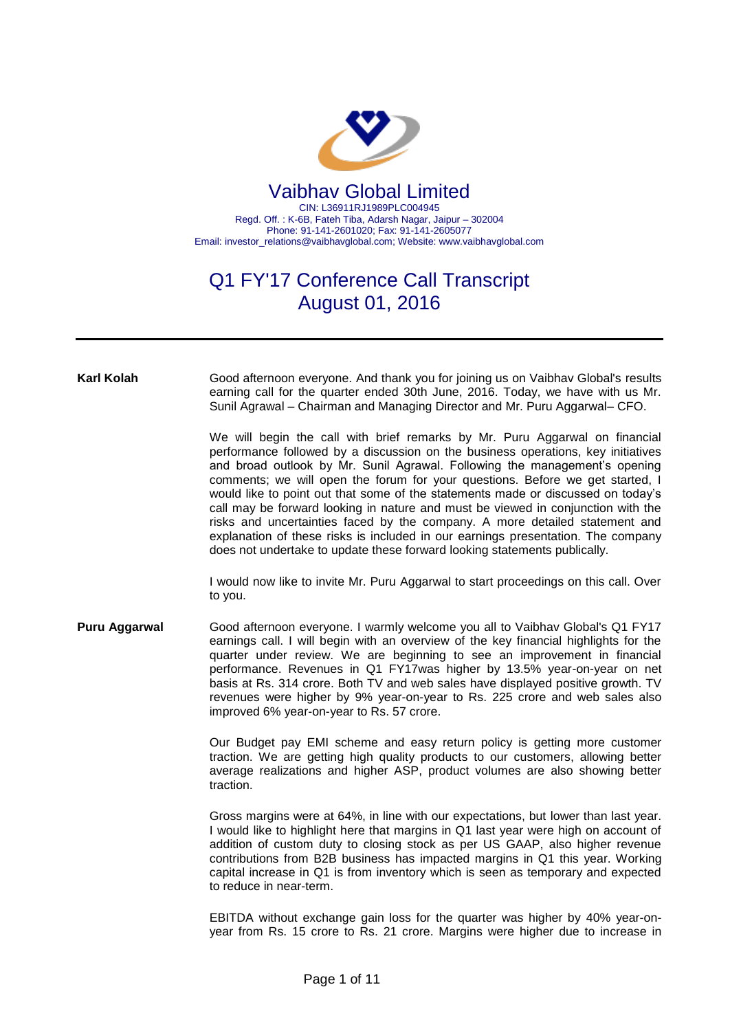

## Q1 FY'17 Conference Call Transcript August 01, 2016

**Karl Kolah** Good afternoon everyone. And thank you for joining us on Vaibhav Global's results earning call for the quarter ended 30th June, 2016. Today, we have with us Mr. Sunil Agrawal – Chairman and Managing Director and Mr. Puru Aggarwal– CFO.

> We will begin the call with brief remarks by Mr. Puru Aggarwal on financial performance followed by a discussion on the business operations, key initiatives and broad outlook by Mr. Sunil Agrawal. Following the management's opening comments; we will open the forum for your questions. Before we get started, I would like to point out that some of the statements made or discussed on today's call may be forward looking in nature and must be viewed in conjunction with the risks and uncertainties faced by the company. A more detailed statement and explanation of these risks is included in our earnings presentation. The company does not undertake to update these forward looking statements publically.

> I would now like to invite Mr. Puru Aggarwal to start proceedings on this call. Over to you.

**Puru Aggarwal** Good afternoon everyone. I warmly welcome you all to Vaibhav Global's Q1 FY17 earnings call. I will begin with an overview of the key financial highlights for the quarter under review. We are beginning to see an improvement in financial performance. Revenues in Q1 FY17was higher by 13.5% year-on-year on net basis at Rs. 314 crore. Both TV and web sales have displayed positive growth. TV revenues were higher by 9% year-on-year to Rs. 225 crore and web sales also improved 6% year-on-year to Rs. 57 crore.

> Our Budget pay EMI scheme and easy return policy is getting more customer traction. We are getting high quality products to our customers, allowing better average realizations and higher ASP, product volumes are also showing better traction.

> Gross margins were at 64%, in line with our expectations, but lower than last year. I would like to highlight here that margins in Q1 last year were high on account of addition of custom duty to closing stock as per US GAAP, also higher revenue contributions from B2B business has impacted margins in Q1 this year. Working capital increase in Q1 is from inventory which is seen as temporary and expected to reduce in near-term.

> EBITDA without exchange gain loss for the quarter was higher by 40% year-onyear from Rs. 15 crore to Rs. 21 crore. Margins were higher due to increase in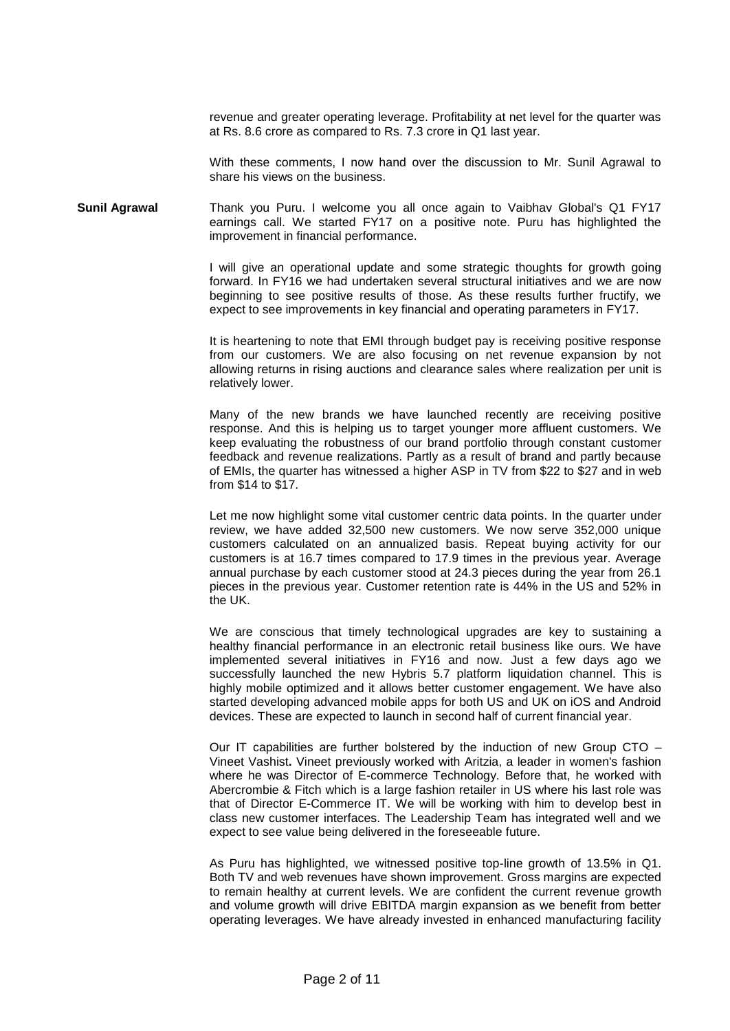revenue and greater operating leverage. Profitability at net level for the quarter was at Rs. 8.6 crore as compared to Rs. 7.3 crore in Q1 last year.

With these comments, I now hand over the discussion to Mr. Sunil Agrawal to share his views on the business.

**Sunil Agrawal** Thank you Puru. I welcome you all once again to Vaibhav Global's Q1 FY17 earnings call. We started FY17 on a positive note. Puru has highlighted the improvement in financial performance.

> I will give an operational update and some strategic thoughts for growth going forward. In FY16 we had undertaken several structural initiatives and we are now beginning to see positive results of those. As these results further fructify, we expect to see improvements in key financial and operating parameters in FY17.

> It is heartening to note that EMI through budget pay is receiving positive response from our customers. We are also focusing on net revenue expansion by not allowing returns in rising auctions and clearance sales where realization per unit is relatively lower.

> Many of the new brands we have launched recently are receiving positive response. And this is helping us to target younger more affluent customers. We keep evaluating the robustness of our brand portfolio through constant customer feedback and revenue realizations. Partly as a result of brand and partly because of EMIs, the quarter has witnessed a higher ASP in TV from \$22 to \$27 and in web from \$14 to \$17.

> Let me now highlight some vital customer centric data points. In the quarter under review, we have added 32,500 new customers. We now serve 352,000 unique customers calculated on an annualized basis. Repeat buying activity for our customers is at 16.7 times compared to 17.9 times in the previous year. Average annual purchase by each customer stood at 24.3 pieces during the year from 26.1 pieces in the previous year. Customer retention rate is 44% in the US and 52% in the UK.

> We are conscious that timely technological upgrades are key to sustaining a healthy financial performance in an electronic retail business like ours. We have implemented several initiatives in FY16 and now. Just a few days ago we successfully launched the new Hybris 5.7 platform liquidation channel. This is highly mobile optimized and it allows better customer engagement. We have also started developing advanced mobile apps for both US and UK on iOS and Android devices. These are expected to launch in second half of current financial year.

> Our IT capabilities are further bolstered by the induction of new Group CTO – Vineet Vashist**.** Vineet previously worked with Aritzia, a leader in women's fashion where he was Director of E-commerce Technology. Before that, he worked with Abercrombie & Fitch which is a large fashion retailer in US where his last role was that of Director E-Commerce IT. We will be working with him to develop best in class new customer interfaces. The Leadership Team has integrated well and we expect to see value being delivered in the foreseeable future.

> As Puru has highlighted, we witnessed positive top-line growth of 13.5% in Q1. Both TV and web revenues have shown improvement. Gross margins are expected to remain healthy at current levels. We are confident the current revenue growth and volume growth will drive EBITDA margin expansion as we benefit from better operating leverages. We have already invested in enhanced manufacturing facility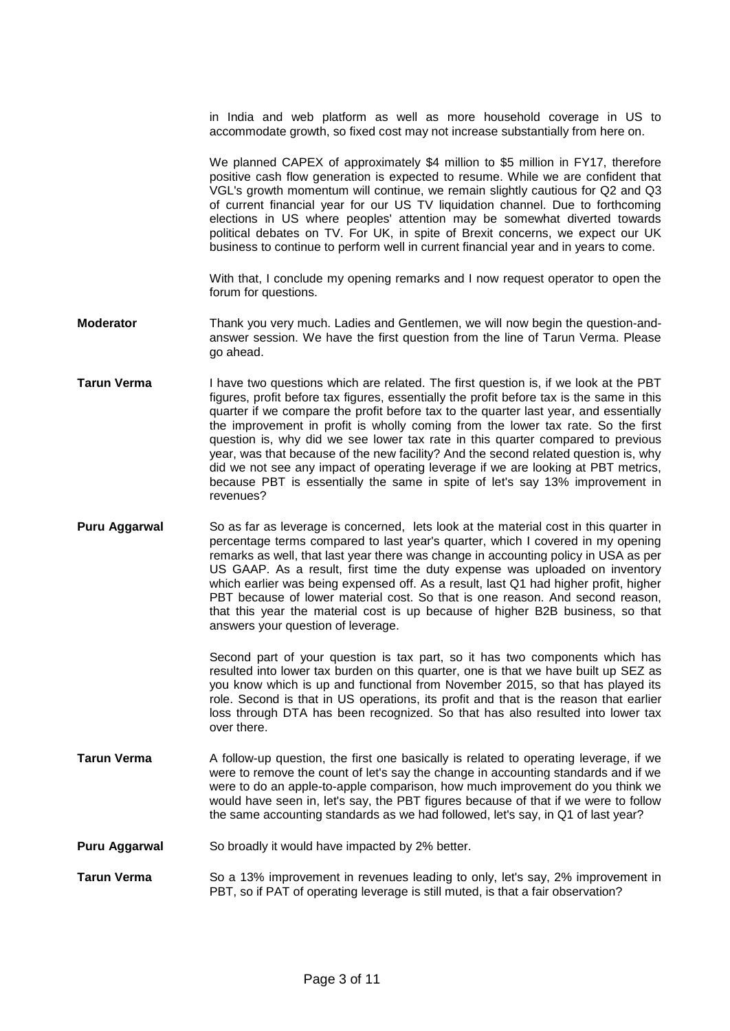in India and web platform as well as more household coverage in US to accommodate growth, so fixed cost may not increase substantially from here on.

We planned CAPEX of approximately \$4 million to \$5 million in FY17, therefore positive cash flow generation is expected to resume. While we are confident that VGL's growth momentum will continue, we remain slightly cautious for Q2 and Q3 of current financial year for our US TV liquidation channel. Due to forthcoming elections in US where peoples' attention may be somewhat diverted towards political debates on TV. For UK, in spite of Brexit concerns, we expect our UK business to continue to perform well in current financial year and in years to come.

With that, I conclude my opening remarks and I now request operator to open the forum for questions.

- **Moderator** Thank you very much. Ladies and Gentlemen, we will now begin the question-andanswer session. We have the first question from the line of Tarun Verma. Please go ahead.
- **Tarun Verma** I have two questions which are related. The first question is, if we look at the PBT figures, profit before tax figures, essentially the profit before tax is the same in this quarter if we compare the profit before tax to the quarter last year, and essentially the improvement in profit is wholly coming from the lower tax rate. So the first question is, why did we see lower tax rate in this quarter compared to previous year, was that because of the new facility? And the second related question is, why did we not see any impact of operating leverage if we are looking at PBT metrics, because PBT is essentially the same in spite of let's say 13% improvement in revenues?
- **Puru Aggarwal** So as far as leverage is concerned, lets look at the material cost in this quarter in percentage terms compared to last year's quarter, which I covered in my opening remarks as well, that last year there was change in accounting policy in USA as per US GAAP. As a result, first time the duty expense was uploaded on inventory which earlier was being expensed off. As a result, last Q1 had higher profit, higher PBT because of lower material cost. So that is one reason. And second reason, that this year the material cost is up because of higher B2B business, so that answers your question of leverage.

Second part of your question is tax part, so it has two components which has resulted into lower tax burden on this quarter, one is that we have built up SEZ as you know which is up and functional from November 2015, so that has played its role. Second is that in US operations, its profit and that is the reason that earlier loss through DTA has been recognized. So that has also resulted into lower tax over there.

- **Tarun Verma** A follow-up question, the first one basically is related to operating leverage, if we were to remove the count of let's say the change in accounting standards and if we were to do an apple-to-apple comparison, how much improvement do you think we would have seen in, let's say, the PBT figures because of that if we were to follow the same accounting standards as we had followed, let's say, in Q1 of last year?
- **Puru Aggarwal** So broadly it would have impacted by 2% better.
- **Tarun Verma** So a 13% improvement in revenues leading to only, let's say, 2% improvement in PBT, so if PAT of operating leverage is still muted, is that a fair observation?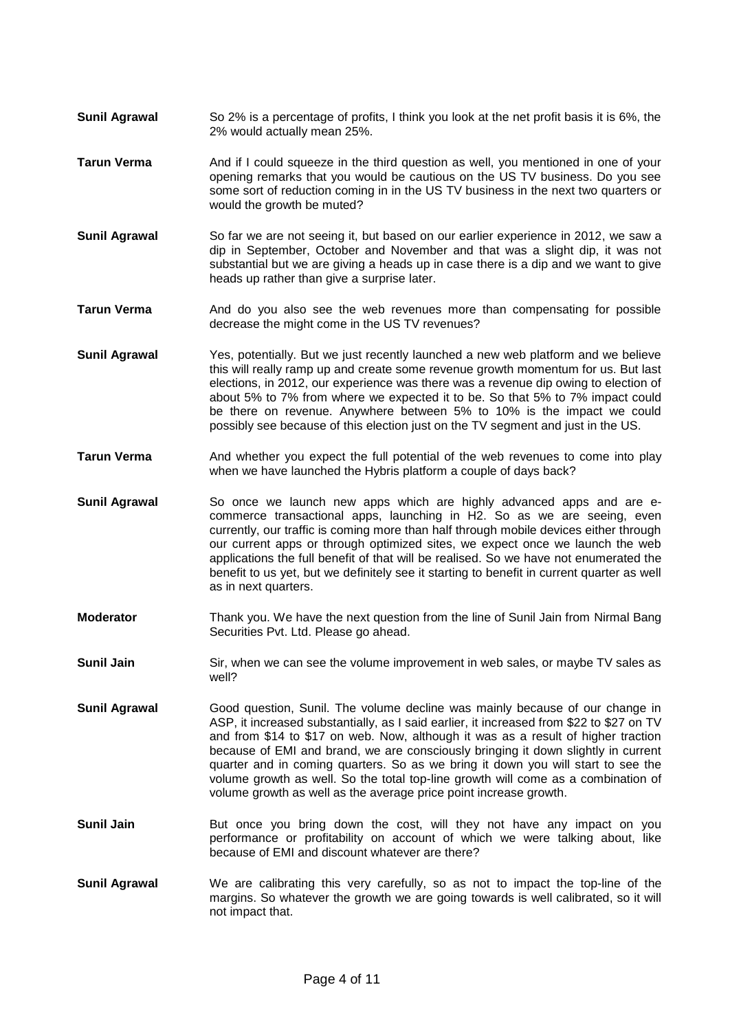- **Sunil Agrawal** So 2% is a percentage of profits, I think you look at the net profit basis it is 6%, the 2% would actually mean 25%.
- **Tarun Verma** And if I could squeeze in the third question as well, you mentioned in one of your opening remarks that you would be cautious on the US TV business. Do you see some sort of reduction coming in in the US TV business in the next two quarters or would the growth be muted?
- **Sunil Agrawal** So far we are not seeing it, but based on our earlier experience in 2012, we saw a dip in September, October and November and that was a slight dip, it was not substantial but we are giving a heads up in case there is a dip and we want to give heads up rather than give a surprise later.
- **Tarun Verma** And do you also see the web revenues more than compensating for possible decrease the might come in the US TV revenues?
- **Sunil Agrawal** Yes, potentially. But we just recently launched a new web platform and we believe this will really ramp up and create some revenue growth momentum for us. But last elections, in 2012, our experience was there was a revenue dip owing to election of about 5% to 7% from where we expected it to be. So that 5% to 7% impact could be there on revenue. Anywhere between 5% to 10% is the impact we could possibly see because of this election just on the TV segment and just in the US.
- **Tarun Verma** And whether you expect the full potential of the web revenues to come into play when we have launched the Hybris platform a couple of days back?
- **Sunil Agrawal** So once we launch new apps which are highly advanced apps and are ecommerce transactional apps, launching in H2. So as we are seeing, even currently, our traffic is coming more than half through mobile devices either through our current apps or through optimized sites, we expect once we launch the web applications the full benefit of that will be realised. So we have not enumerated the benefit to us yet, but we definitely see it starting to benefit in current quarter as well as in next quarters.
- **Moderator** Thank you. We have the next question from the line of Sunil Jain from Nirmal Bang Securities Pvt. Ltd. Please go ahead.
- **Sunil Jain** Sir, when we can see the volume improvement in web sales, or maybe TV sales as well?
- **Sunil Agrawal** Good question, Sunil. The volume decline was mainly because of our change in ASP, it increased substantially, as I said earlier, it increased from \$22 to \$27 on TV and from \$14 to \$17 on web. Now, although it was as a result of higher traction because of EMI and brand, we are consciously bringing it down slightly in current quarter and in coming quarters. So as we bring it down you will start to see the volume growth as well. So the total top-line growth will come as a combination of volume growth as well as the average price point increase growth.
- **Sunil Jain** But once you bring down the cost, will they not have any impact on you performance or profitability on account of which we were talking about, like because of EMI and discount whatever are there?
- **Sunil Agrawal** We are calibrating this very carefully, so as not to impact the top-line of the margins. So whatever the growth we are going towards is well calibrated, so it will not impact that.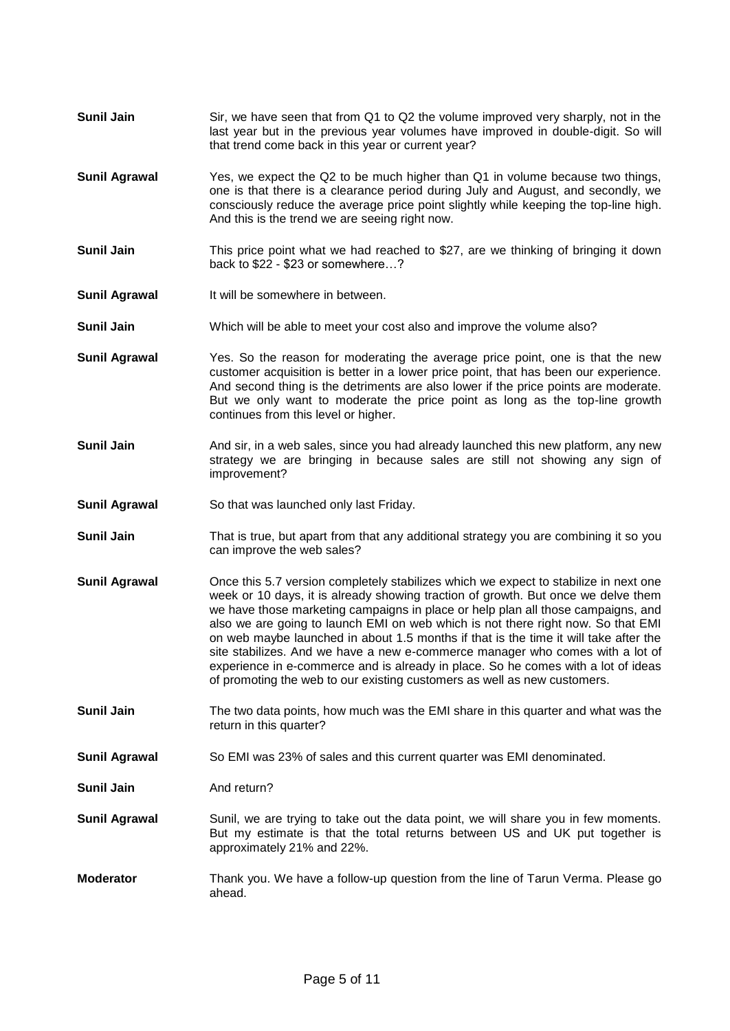- **Sunil Jain** Sir, we have seen that from Q1 to Q2 the volume improved very sharply, not in the last year but in the previous year volumes have improved in double-digit. So will that trend come back in this year or current year?
- **Sunil Agrawal** Yes, we expect the Q2 to be much higher than Q1 in volume because two things, one is that there is a clearance period during July and August, and secondly, we consciously reduce the average price point slightly while keeping the top-line high. And this is the trend we are seeing right now.
- **Sunil Jain** This price point what we had reached to \$27, are we thinking of bringing it down back to \$22 - \$23 or somewhere…?
- **Sunil Agrawal** It will be somewhere in between.
- **Sunil Jain** Which will be able to meet your cost also and improve the volume also?
- **Sunil Agrawal** Yes. So the reason for moderating the average price point, one is that the new customer acquisition is better in a lower price point, that has been our experience. And second thing is the detriments are also lower if the price points are moderate. But we only want to moderate the price point as long as the top-line growth continues from this level or higher.
- **Sunil Jain** And sir, in a web sales, since you had already launched this new platform, any new strategy we are bringing in because sales are still not showing any sign of improvement?
- **Sunil Agrawal** So that was launched only last Friday.
- **Sunil Jain** That is true, but apart from that any additional strategy you are combining it so you can improve the web sales?
- **Sunil Agrawal** Once this 5.7 version completely stabilizes which we expect to stabilize in next one week or 10 days, it is already showing traction of growth. But once we delve them we have those marketing campaigns in place or help plan all those campaigns, and also we are going to launch EMI on web which is not there right now. So that EMI on web maybe launched in about 1.5 months if that is the time it will take after the site stabilizes. And we have a new e-commerce manager who comes with a lot of experience in e-commerce and is already in place. So he comes with a lot of ideas of promoting the web to our existing customers as well as new customers.
- **Sunil Jain** The two data points, how much was the EMI share in this quarter and what was the return in this quarter?
- **Sunil Agrawal** So EMI was 23% of sales and this current quarter was EMI denominated.

**Sunil Jain** And return?

- **Sunil Agrawal** Sunil, we are trying to take out the data point, we will share you in few moments. But my estimate is that the total returns between US and UK put together is approximately 21% and 22%.
- **Moderator** Thank you. We have a follow-up question from the line of Tarun Verma. Please go ahead.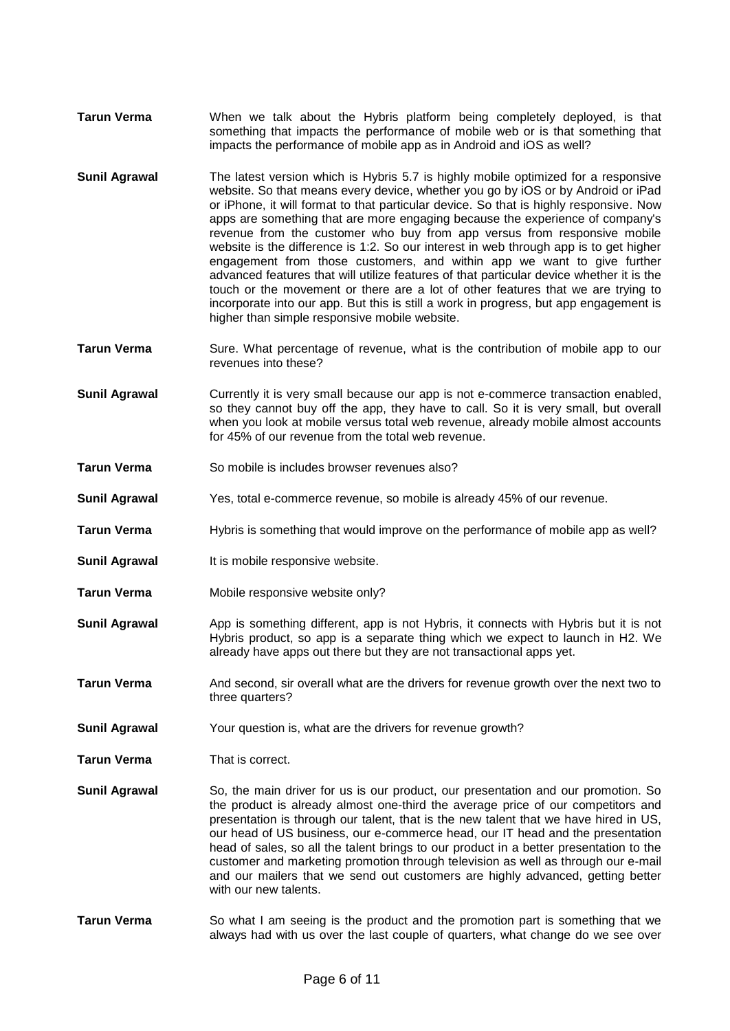- **Tarun Verma** When we talk about the Hybris platform being completely deployed, is that something that impacts the performance of mobile web or is that something that impacts the performance of mobile app as in Android and iOS as well?
- **Sunil Agrawal** The latest version which is Hybris 5.7 is highly mobile optimized for a responsive website. So that means every device, whether you go by iOS or by Android or iPad or iPhone, it will format to that particular device. So that is highly responsive. Now apps are something that are more engaging because the experience of company's revenue from the customer who buy from app versus from responsive mobile website is the difference is 1:2. So our interest in web through app is to get higher engagement from those customers, and within app we want to give further advanced features that will utilize features of that particular device whether it is the touch or the movement or there are a lot of other features that we are trying to incorporate into our app. But this is still a work in progress, but app engagement is higher than simple responsive mobile website.
- **Tarun Verma** Sure. What percentage of revenue, what is the contribution of mobile app to our revenues into these?
- **Sunil Agrawal** Currently it is very small because our app is not e-commerce transaction enabled, so they cannot buy off the app, they have to call. So it is very small, but overall when you look at mobile versus total web revenue, already mobile almost accounts for 45% of our revenue from the total web revenue.
- **Tarun Verma** So mobile is includes browser revenues also?
- **Sunil Agrawal** Yes, total e-commerce revenue, so mobile is already 45% of our revenue.
- **Tarun Verma** Hybris is something that would improve on the performance of mobile app as well?
- **Sunil Agrawal** It is mobile responsive website.
- **Tarun Verma** Mobile responsive website only?
- **Sunil Agrawal** App is something different, app is not Hybris, it connects with Hybris but it is not Hybris product, so app is a separate thing which we expect to launch in H2. We already have apps out there but they are not transactional apps yet.
- **Tarun Verma** And second, sir overall what are the drivers for revenue growth over the next two to three quarters?
- **Sunil Agrawal** Your question is, what are the drivers for revenue growth?
- **Tarun Verma** That is correct.
- **Sunil Agrawal** So, the main driver for us is our product, our presentation and our promotion. So the product is already almost one-third the average price of our competitors and presentation is through our talent, that is the new talent that we have hired in US, our head of US business, our e-commerce head, our IT head and the presentation head of sales, so all the talent brings to our product in a better presentation to the customer and marketing promotion through television as well as through our e-mail and our mailers that we send out customers are highly advanced, getting better with our new talents.
- **Tarun Verma** So what I am seeing is the product and the promotion part is something that we always had with us over the last couple of quarters, what change do we see over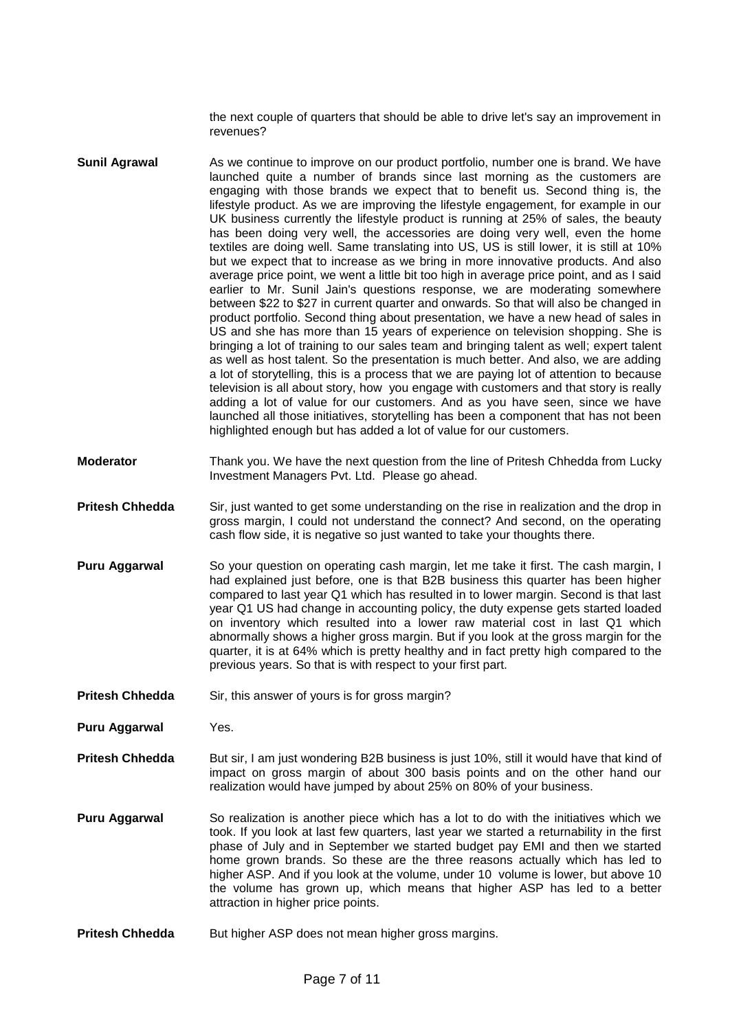the next couple of quarters that should be able to drive let's say an improvement in revenues?

- **Sunil Agrawal** As we continue to improve on our product portfolio, number one is brand. We have launched quite a number of brands since last morning as the customers are engaging with those brands we expect that to benefit us. Second thing is, the lifestyle product. As we are improving the lifestyle engagement, for example in our UK business currently the lifestyle product is running at 25% of sales, the beauty has been doing very well, the accessories are doing very well, even the home textiles are doing well. Same translating into US, US is still lower, it is still at 10% but we expect that to increase as we bring in more innovative products. And also average price point, we went a little bit too high in average price point, and as I said earlier to Mr. Sunil Jain's questions response, we are moderating somewhere between \$22 to \$27 in current quarter and onwards. So that will also be changed in product portfolio. Second thing about presentation, we have a new head of sales in US and she has more than 15 years of experience on television shopping. She is bringing a lot of training to our sales team and bringing talent as well; expert talent as well as host talent. So the presentation is much better. And also, we are adding a lot of storytelling, this is a process that we are paying lot of attention to because television is all about story, how you engage with customers and that story is really adding a lot of value for our customers. And as you have seen, since we have launched all those initiatives, storytelling has been a component that has not been highlighted enough but has added a lot of value for our customers.
- **Moderator** Thank you. We have the next question from the line of Pritesh Chhedda from Lucky Investment Managers Pvt. Ltd. Please go ahead.
- **Pritesh Chhedda** Sir, just wanted to get some understanding on the rise in realization and the drop in gross margin, I could not understand the connect? And second, on the operating cash flow side, it is negative so just wanted to take your thoughts there.
- **Puru Aggarwal** So your question on operating cash margin, let me take it first. The cash margin, I had explained just before, one is that B2B business this quarter has been higher compared to last year Q1 which has resulted in to lower margin. Second is that last year Q1 US had change in accounting policy, the duty expense gets started loaded on inventory which resulted into a lower raw material cost in last Q1 which abnormally shows a higher gross margin. But if you look at the gross margin for the quarter, it is at 64% which is pretty healthy and in fact pretty high compared to the previous years. So that is with respect to your first part.
- Pritesh Chhedda Sir, this answer of yours is for gross margin?

**Puru Aggarwal** Yes.

- **Pritesh Chhedda** But sir, I am just wondering B2B business is just 10%, still it would have that kind of impact on gross margin of about 300 basis points and on the other hand our realization would have jumped by about 25% on 80% of your business.
- **Puru Aggarwal** So realization is another piece which has a lot to do with the initiatives which we took. If you look at last few quarters, last year we started a returnability in the first phase of July and in September we started budget pay EMI and then we started home grown brands. So these are the three reasons actually which has led to higher ASP. And if you look at the volume, under 10 volume is lower, but above 10 the volume has grown up, which means that higher ASP has led to a better attraction in higher price points.
- **Pritesh Chhedda** But higher ASP does not mean higher gross margins.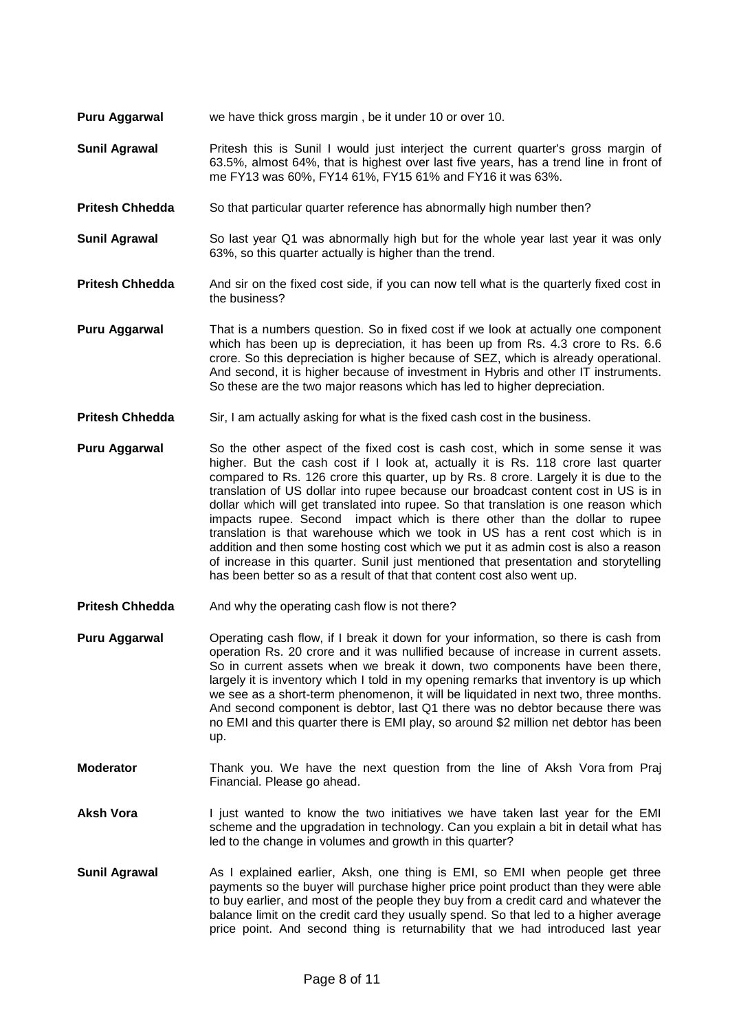- **Puru Aggarwal** we have thick gross margin , be it under 10 or over 10.
- **Sunil Agrawal** Pritesh this is Sunil I would just interject the current quarter's gross margin of 63.5%, almost 64%, that is highest over last five years, has a trend line in front of me FY13 was 60%, FY14 61%, FY15 61% and FY16 it was 63%.
- **Pritesh Chhedda** So that particular quarter reference has abnormally high number then?
- **Sunil Agrawal** So last year Q1 was abnormally high but for the whole year last year it was only 63%, so this quarter actually is higher than the trend.
- **Pritesh Chhedda** And sir on the fixed cost side, if you can now tell what is the quarterly fixed cost in the business?
- **Puru Aggarwal** That is a numbers question. So in fixed cost if we look at actually one component which has been up is depreciation, it has been up from Rs. 4.3 crore to Rs. 6.6 crore. So this depreciation is higher because of SEZ, which is already operational. And second, it is higher because of investment in Hybris and other IT instruments. So these are the two major reasons which has led to higher depreciation.
- **Pritesh Chhedda** Sir, I am actually asking for what is the fixed cash cost in the business.
- **Puru Aggarwal** So the other aspect of the fixed cost is cash cost, which in some sense it was higher. But the cash cost if I look at, actually it is Rs. 118 crore last quarter compared to Rs. 126 crore this quarter, up by Rs. 8 crore. Largely it is due to the translation of US dollar into rupee because our broadcast content cost in US is in dollar which will get translated into rupee. So that translation is one reason which impacts rupee. Second impact which is there other than the dollar to rupee translation is that warehouse which we took in US has a rent cost which is in addition and then some hosting cost which we put it as admin cost is also a reason of increase in this quarter. Sunil just mentioned that presentation and storytelling has been better so as a result of that that content cost also went up.
- **Pritesh Chhedda** And why the operating cash flow is not there?

**Puru Aggarwal** Operating cash flow, if I break it down for your information, so there is cash from operation Rs. 20 crore and it was nullified because of increase in current assets. So in current assets when we break it down, two components have been there, largely it is inventory which I told in my opening remarks that inventory is up which we see as a short-term phenomenon, it will be liquidated in next two, three months. And second component is debtor, last Q1 there was no debtor because there was no EMI and this quarter there is EMI play, so around \$2 million net debtor has been up.

- **Moderator** Thank you. We have the next question from the line of Aksh Vora from Praj Financial. Please go ahead.
- Aksh Vora **I** just wanted to know the two initiatives we have taken last year for the EMI scheme and the upgradation in technology. Can you explain a bit in detail what has led to the change in volumes and growth in this quarter?
- **Sunil Agrawal** As I explained earlier, Aksh, one thing is EMI, so EMI when people get three payments so the buyer will purchase higher price point product than they were able to buy earlier, and most of the people they buy from a credit card and whatever the balance limit on the credit card they usually spend. So that led to a higher average price point. And second thing is returnability that we had introduced last year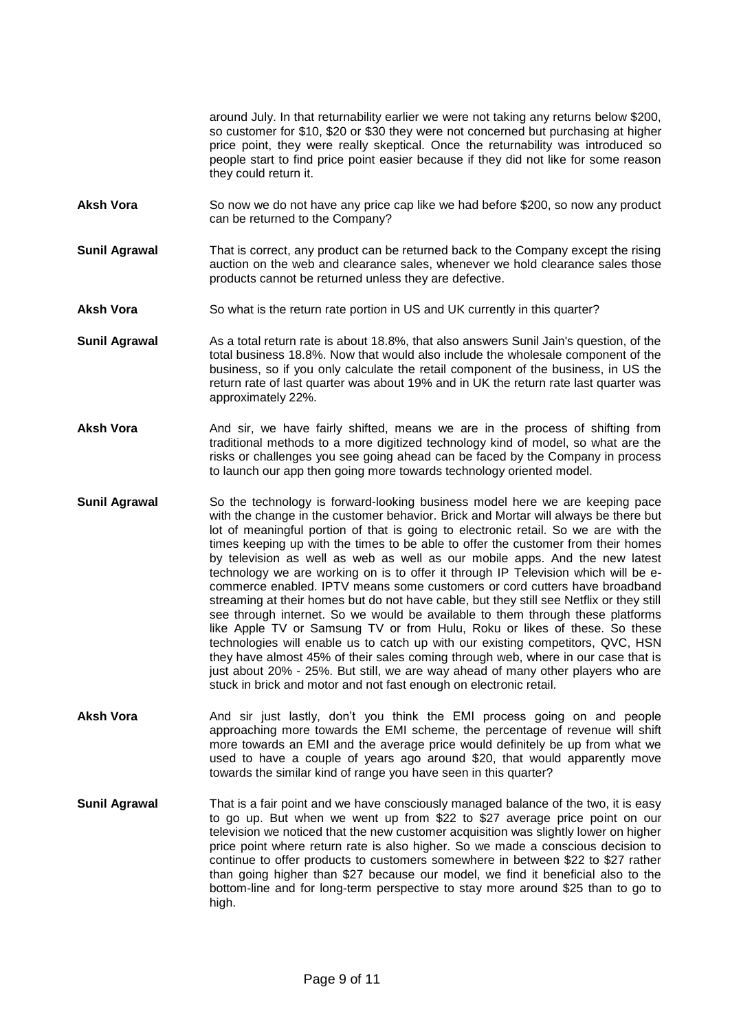around July. In that returnability earlier we were not taking any returns below \$200, so customer for \$10, \$20 or \$30 they were not concerned but purchasing at higher price point, they were really skeptical. Once the returnability was introduced so people start to find price point easier because if they did not like for some reason they could return it.

- Aksh Vora So now we do not have any price cap like we had before \$200, so now any product can be returned to the Company?
- **Sunil Agrawal** That is correct, any product can be returned back to the Company except the rising auction on the web and clearance sales, whenever we hold clearance sales those products cannot be returned unless they are defective.
- Aksh Vora So what is the return rate portion in US and UK currently in this quarter?
- **Sunil Agrawal** As a total return rate is about 18.8%, that also answers Sunil Jain's question, of the total business 18.8%. Now that would also include the wholesale component of the business, so if you only calculate the retail component of the business, in US the return rate of last quarter was about 19% and in UK the return rate last quarter was approximately 22%.
- Aksh Vora **And Sir, we have fairly shifted, means we are in the process of shifting from** traditional methods to a more digitized technology kind of model, so what are the risks or challenges you see going ahead can be faced by the Company in process to launch our app then going more towards technology oriented model.
- **Sunil Agrawal** So the technology is forward-looking business model here we are keeping pace with the change in the customer behavior. Brick and Mortar will always be there but lot of meaningful portion of that is going to electronic retail. So we are with the times keeping up with the times to be able to offer the customer from their homes by television as well as web as well as our mobile apps. And the new latest technology we are working on is to offer it through IP Television which will be ecommerce enabled. IPTV means some customers or cord cutters have broadband streaming at their homes but do not have cable, but they still see Netflix or they still see through internet. So we would be available to them through these platforms like Apple TV or Samsung TV or from Hulu, Roku or likes of these. So these technologies will enable us to catch up with our existing competitors, QVC, HSN they have almost 45% of their sales coming through web, where in our case that is just about 20% - 25%. But still, we are way ahead of many other players who are stuck in brick and motor and not fast enough on electronic retail.
- Aksh Vora **And sir just lastly, don't you think the EMI** process going on and people approaching more towards the EMI scheme, the percentage of revenue will shift more towards an EMI and the average price would definitely be up from what we used to have a couple of years ago around \$20, that would apparently move towards the similar kind of range you have seen in this quarter?
- **Sunil Agrawal** That is a fair point and we have consciously managed balance of the two, it is easy to go up. But when we went up from \$22 to \$27 average price point on our television we noticed that the new customer acquisition was slightly lower on higher price point where return rate is also higher. So we made a conscious decision to continue to offer products to customers somewhere in between \$22 to \$27 rather than going higher than \$27 because our model, we find it beneficial also to the bottom-line and for long-term perspective to stay more around \$25 than to go to high.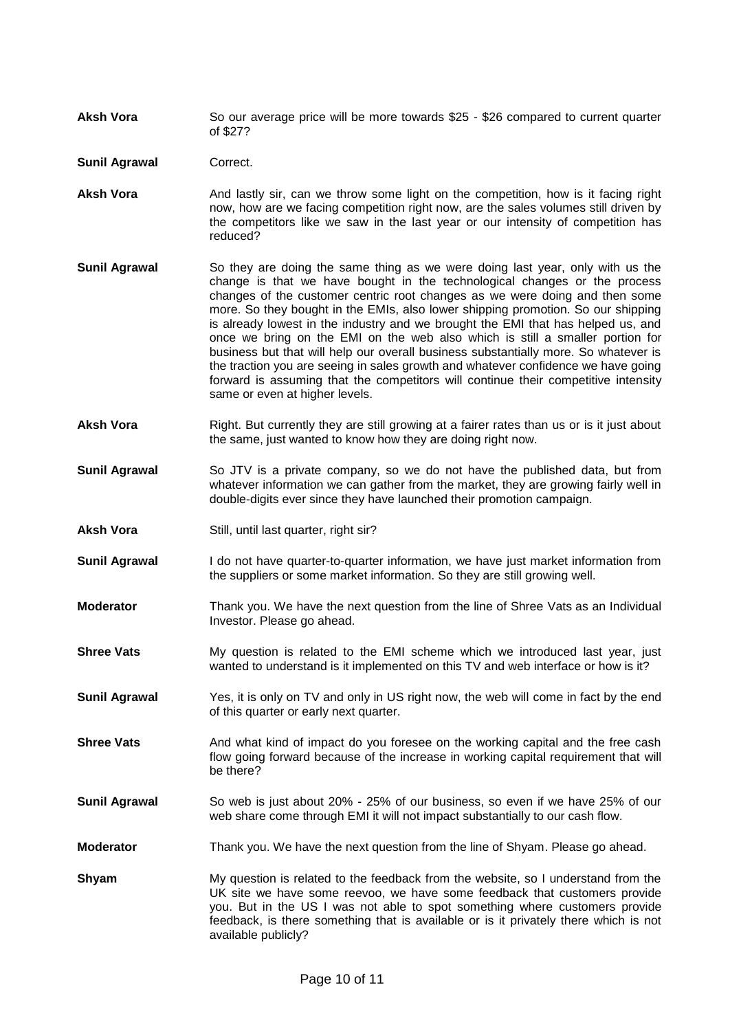**Aksh Vora** So our average price will be more towards \$25 - \$26 compared to current quarter of \$27?

**Sunil Agrawal Correct.** 

- Aksh Vora **And lastly sir, can we throw some light on the competition, how is it facing right** now, how are we facing competition right now, are the sales volumes still driven by the competitors like we saw in the last year or our intensity of competition has reduced?
- **Sunil Agrawal** So they are doing the same thing as we were doing last year, only with us the change is that we have bought in the technological changes or the process changes of the customer centric root changes as we were doing and then some more. So they bought in the EMIs, also lower shipping promotion. So our shipping is already lowest in the industry and we brought the EMI that has helped us, and once we bring on the EMI on the web also which is still a smaller portion for business but that will help our overall business substantially more. So whatever is the traction you are seeing in sales growth and whatever confidence we have going forward is assuming that the competitors will continue their competitive intensity same or even at higher levels.
- **Aksh Vora** Right. But currently they are still growing at a fairer rates than us or is it just about the same, just wanted to know how they are doing right now.
- **Sunil Agrawal** So JTV is a private company, so we do not have the published data, but from whatever information we can gather from the market, they are growing fairly well in double-digits ever since they have launched their promotion campaign.
- Aksh Vora **Still**, until last quarter, right sir?
- **Sunil Agrawal** I do not have quarter-to-quarter information, we have just market information from the suppliers or some market information. So they are still growing well.
- **Moderator** Thank you. We have the next question from the line of Shree Vats as an Individual Investor. Please go ahead.
- **Shree Vats** My question is related to the EMI scheme which we introduced last year, just wanted to understand is it implemented on this TV and web interface or how is it?
- **Sunil Agrawal** Yes, it is only on TV and only in US right now, the web will come in fact by the end of this quarter or early next quarter.
- **Shree Vats** And what kind of impact do you foresee on the working capital and the free cash flow going forward because of the increase in working capital requirement that will be there?
- **Sunil Agrawal** So web is just about 20% 25% of our business, so even if we have 25% of our web share come through EMI it will not impact substantially to our cash flow.
- **Moderator** Thank you. We have the next question from the line of Shyam. Please go ahead.
- **Shyam** My question is related to the feedback from the website, so I understand from the UK site we have some reevoo, we have some feedback that customers provide you. But in the US I was not able to spot something where customers provide feedback, is there something that is available or is it privately there which is not available publicly?